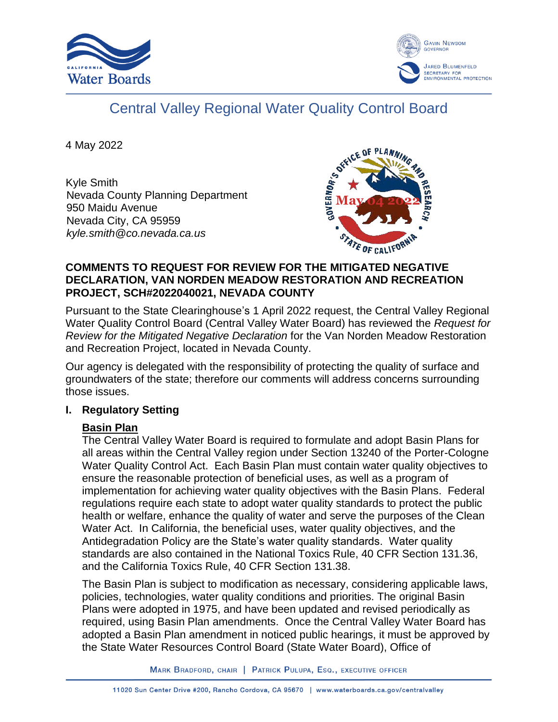



# Central Valley Regional Water Quality Control Board

4 May 2022

Kyle Smith Nevada County Planning Department 950 Maidu Avenue Nevada City, CA 95959 *kyle.smith@co.nevada.ca.us*



### **COMMENTS TO REQUEST FOR REVIEW FOR THE MITIGATED NEGATIVE DECLARATION, VAN NORDEN MEADOW RESTORATION AND RECREATION PROJECT, SCH#2022040021, NEVADA COUNTY**

Pursuant to the State Clearinghouse's 1 April 2022 request, the Central Valley Regional Water Quality Control Board (Central Valley Water Board) has reviewed the *Request for Review for the Mitigated Negative Declaration* for the Van Norden Meadow Restoration and Recreation Project, located in Nevada County.

Our agency is delegated with the responsibility of protecting the quality of surface and groundwaters of the state; therefore our comments will address concerns surrounding those issues.

## **I. Regulatory Setting**

# **Basin Plan**

The Central Valley Water Board is required to formulate and adopt Basin Plans for all areas within the Central Valley region under Section 13240 of the Porter-Cologne Water Quality Control Act. Each Basin Plan must contain water quality objectives to ensure the reasonable protection of beneficial uses, as well as a program of implementation for achieving water quality objectives with the Basin Plans. Federal regulations require each state to adopt water quality standards to protect the public health or welfare, enhance the quality of water and serve the purposes of the Clean Water Act. In California, the beneficial uses, water quality objectives, and the Antidegradation Policy are the State's water quality standards. Water quality standards are also contained in the National Toxics Rule, 40 CFR Section 131.36, and the California Toxics Rule, 40 CFR Section 131.38.

The Basin Plan is subject to modification as necessary, considering applicable laws, policies, technologies, water quality conditions and priorities. The original Basin Plans were adopted in 1975, and have been updated and revised periodically as required, using Basin Plan amendments. Once the Central Valley Water Board has adopted a Basin Plan amendment in noticed public hearings, it must be approved by the State Water Resources Control Board (State Water Board), Office of

MARK BRADFORD, CHAIR | PATRICK PULUPA, ESQ., EXECUTIVE OFFICER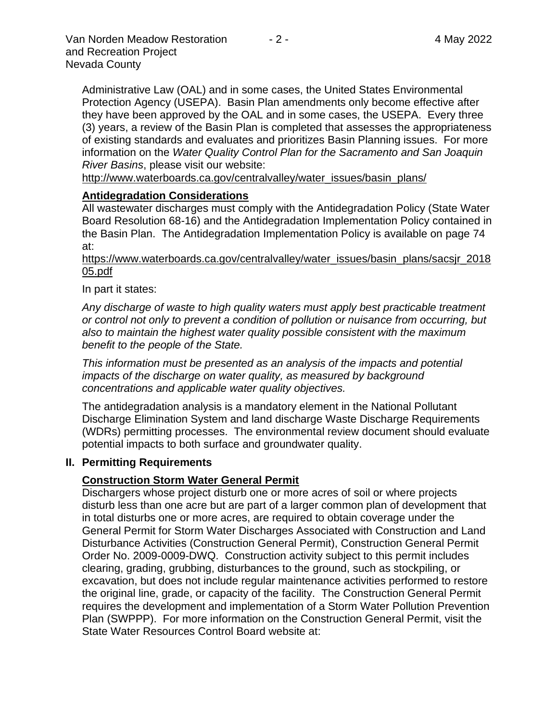Administrative Law (OAL) and in some cases, the United States Environmental Protection Agency (USEPA). Basin Plan amendments only become effective after they have been approved by the OAL and in some cases, the USEPA. Every three (3) years, a review of the Basin Plan is completed that assesses the appropriateness of existing standards and evaluates and prioritizes Basin Planning issues. For more information on the *Water Quality Control Plan for the Sacramento and San Joaquin River Basins*, please visit our website:

[http://www.waterboards.ca.gov/centralvalley/water\\_issues/basin\\_plans/](http://www.waterboards.ca.gov/centralvalley/water_issues/basin_plans/)

### **Antidegradation Considerations**

All wastewater discharges must comply with the Antidegradation Policy (State Water Board Resolution 68-16) and the Antidegradation Implementation Policy contained in the Basin Plan. The Antidegradation Implementation Policy is available on page 74 at:

#### https://www.waterboards.ca.gov/centralvalley/water\_issues/basin\_plans/sacsjr\_2018 05.pdf

### In part it states:

*Any discharge of waste to high quality waters must apply best practicable treatment or control not only to prevent a condition of pollution or nuisance from occurring, but also to maintain the highest water quality possible consistent with the maximum benefit to the people of the State.*

*This information must be presented as an analysis of the impacts and potential impacts of the discharge on water quality, as measured by background concentrations and applicable water quality objectives.*

The antidegradation analysis is a mandatory element in the National Pollutant Discharge Elimination System and land discharge Waste Discharge Requirements (WDRs) permitting processes. The environmental review document should evaluate potential impacts to both surface and groundwater quality.

#### **II. Permitting Requirements**

## **Construction Storm Water General Permit**

Dischargers whose project disturb one or more acres of soil or where projects disturb less than one acre but are part of a larger common plan of development that in total disturbs one or more acres, are required to obtain coverage under the General Permit for Storm Water Discharges Associated with Construction and Land Disturbance Activities (Construction General Permit), Construction General Permit Order No. 2009-0009-DWQ. Construction activity subject to this permit includes clearing, grading, grubbing, disturbances to the ground, such as stockpiling, or excavation, but does not include regular maintenance activities performed to restore the original line, grade, or capacity of the facility. The Construction General Permit requires the development and implementation of a Storm Water Pollution Prevention Plan (SWPPP). For more information on the Construction General Permit, visit the State Water Resources Control Board website at: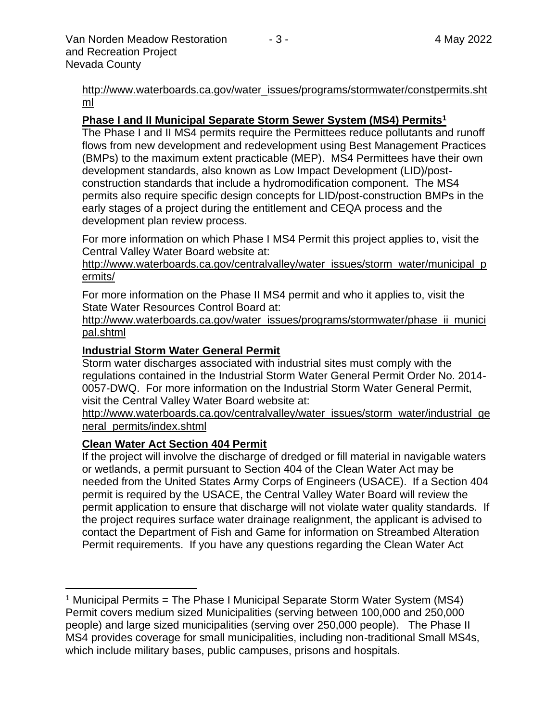[http://www.waterboards.ca.gov/water\\_issues/programs/stormwater/constpermits.sht](http://www.waterboards.ca.gov/water_issues/programs/stormwater/constpermits.shtml) [ml](http://www.waterboards.ca.gov/water_issues/programs/stormwater/constpermits.shtml)

#### **Phase I and II Municipal Separate Storm Sewer System (MS4) Permits<sup>1</sup>**

The Phase I and II MS4 permits require the Permittees reduce pollutants and runoff flows from new development and redevelopment using Best Management Practices (BMPs) to the maximum extent practicable (MEP). MS4 Permittees have their own development standards, also known as Low Impact Development (LID)/postconstruction standards that include a hydromodification component. The MS4 permits also require specific design concepts for LID/post-construction BMPs in the early stages of a project during the entitlement and CEQA process and the development plan review process.

For more information on which Phase I MS4 Permit this project applies to, visit the Central Valley Water Board website at:

http://www.waterboards.ca.gov/centralvalley/water\_issues/storm\_water/municipal\_p ermits/

For more information on the Phase II MS4 permit and who it applies to, visit the State Water Resources Control Board at:

http://www.waterboards.ca.gov/water\_issues/programs/stormwater/phase\_ii\_munici pal.shtml

#### **Industrial Storm Water General Permit**

Storm water discharges associated with industrial sites must comply with the regulations contained in the Industrial Storm Water General Permit Order No. 2014- 0057-DWQ. For more information on the Industrial Storm Water General Permit, visit the Central Valley Water Board website at:

http://www.waterboards.ca.gov/centralvalley/water\_issues/storm\_water/industrial\_ge neral\_permits/index.shtml

#### **Clean Water Act Section 404 Permit**

If the project will involve the discharge of dredged or fill material in navigable waters or wetlands, a permit pursuant to Section 404 of the Clean Water Act may be needed from the United States Army Corps of Engineers (USACE). If a Section 404 permit is required by the USACE, the Central Valley Water Board will review the permit application to ensure that discharge will not violate water quality standards. If the project requires surface water drainage realignment, the applicant is advised to contact the Department of Fish and Game for information on Streambed Alteration Permit requirements. If you have any questions regarding the Clean Water Act

<sup>&</sup>lt;sup>1</sup> Municipal Permits = The Phase I Municipal Separate Storm Water System (MS4) Permit covers medium sized Municipalities (serving between 100,000 and 250,000 people) and large sized municipalities (serving over 250,000 people). The Phase II MS4 provides coverage for small municipalities, including non-traditional Small MS4s, which include military bases, public campuses, prisons and hospitals.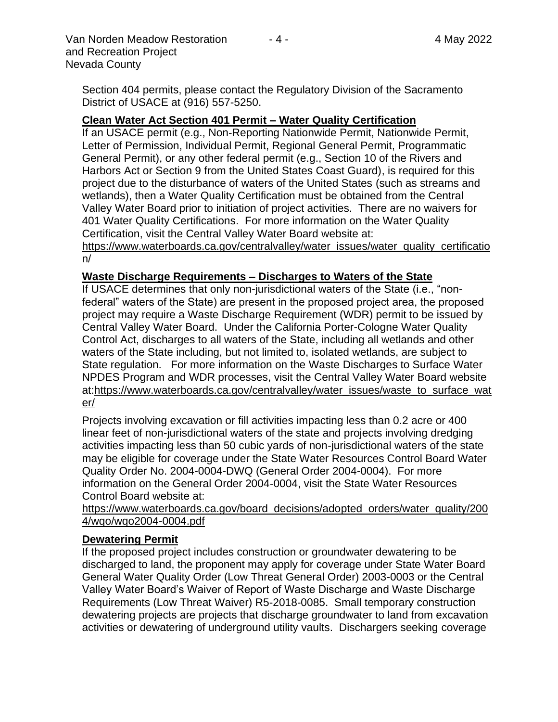Van Norden Meadow Restoration  $-4$  -  $-4$  -  $-4$  May 2022 and Recreation Project Nevada County

Section 404 permits, please contact the Regulatory Division of the Sacramento District of USACE at (916) 557-5250.

## **Clean Water Act Section 401 Permit – Water Quality Certification**

If an USACE permit (e.g., Non-Reporting Nationwide Permit, Nationwide Permit, Letter of Permission, Individual Permit, Regional General Permit, Programmatic General Permit), or any other federal permit (e.g., Section 10 of the Rivers and Harbors Act or Section 9 from the United States Coast Guard), is required for this project due to the disturbance of waters of the United States (such as streams and wetlands), then a Water Quality Certification must be obtained from the Central Valley Water Board prior to initiation of project activities. There are no waivers for 401 Water Quality Certifications. For more information on the Water Quality Certification, visit the Central Valley Water Board website at:

https://www.waterboards.ca.gov/centralvalley/water\_issues/water\_quality\_certificatio n/

## **Waste Discharge Requirements – Discharges to Waters of the State**

If USACE determines that only non-jurisdictional waters of the State (i.e., "nonfederal" waters of the State) are present in the proposed project area, the proposed project may require a Waste Discharge Requirement (WDR) permit to be issued by Central Valley Water Board. Under the California Porter-Cologne Water Quality Control Act, discharges to all waters of the State, including all wetlands and other waters of the State including, but not limited to, isolated wetlands, are subject to State regulation. For more information on the Waste Discharges to Surface Water NPDES Program and WDR processes, visit the Central Valley Water Board website at:https://www.waterboards.ca.gov/centralvalley/water\_issues/waste\_to\_surface\_wat er/

Projects involving excavation or fill activities impacting less than 0.2 acre or 400 linear feet of non-jurisdictional waters of the state and projects involving dredging activities impacting less than 50 cubic yards of non-jurisdictional waters of the state may be eligible for coverage under the State Water Resources Control Board Water Quality Order No. 2004-0004-DWQ (General Order 2004-0004). For more information on the General Order 2004-0004, visit the State Water Resources Control Board website at:

https://www.waterboards.ca.gov/board\_decisions/adopted\_orders/water\_quality/200 4/wqo/wqo2004-0004.pdf

## **Dewatering Permit**

If the proposed project includes construction or groundwater dewatering to be discharged to land, the proponent may apply for coverage under State Water Board General Water Quality Order (Low Threat General Order) 2003-0003 or the Central Valley Water Board's Waiver of Report of Waste Discharge and Waste Discharge Requirements (Low Threat Waiver) R5-2018-0085. Small temporary construction dewatering projects are projects that discharge groundwater to land from excavation activities or dewatering of underground utility vaults. Dischargers seeking coverage